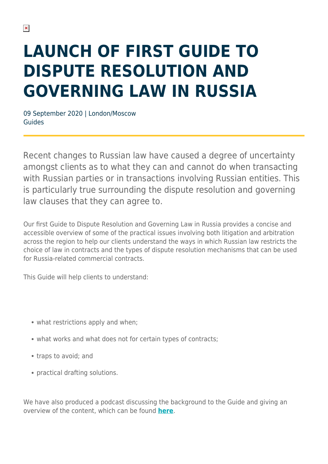## **LAUNCH OF FIRST GUIDE TO DISPUTE RESOLUTION AND GOVERNING LAW IN RUSSIA**

09 September 2020 | London/Moscow Guides

Recent changes to Russian law have caused a degree of uncertainty amongst clients as to what they can and cannot do when transacting with Russian parties or in transactions involving Russian entities. This is particularly true surrounding the dispute resolution and governing law clauses that they can agree to.

Our first Guide to Dispute Resolution and Governing Law in Russia provides a concise and accessible overview of some of the practical issues involving both litigation and arbitration across the region to help our clients understand the ways in which Russian law restricts the choice of law in contracts and the types of dispute resolution mechanisms that can be used for Russia-related commercial contracts.

This Guide will help clients to understand:

- what restrictions apply and when;
- what works and what does not for certain types of contracts;
- traps to avoid; and
- practical drafting solutions.

We have also produced a podcast discussing the background to the Guide and giving an overview of the content, which can be found **[here](https://soundcloud.com/herbert-smith-freehills/russia-dispute-resolution-and-governing-law-guide)**.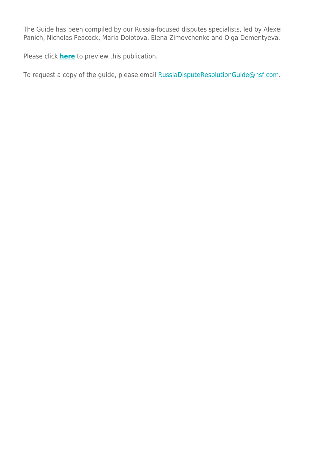The Guide has been compiled by our Russia-focused disputes specialists, led by Alexei Panich, Nicholas Peacock, Maria Dolotova, Elena Zimovchenko and Olga Dementyeva.

Please click **[here](https://sites-herbertsmithfreehills.vuturevx.com/20/21553/landing-pages/dispute-resolution-and-governing-clauses---russia---september-2020.pdf)** to preview this publication.

To request a copy of the guide, please email **RussiaDisputeResolutionGuide@hsf.com.**